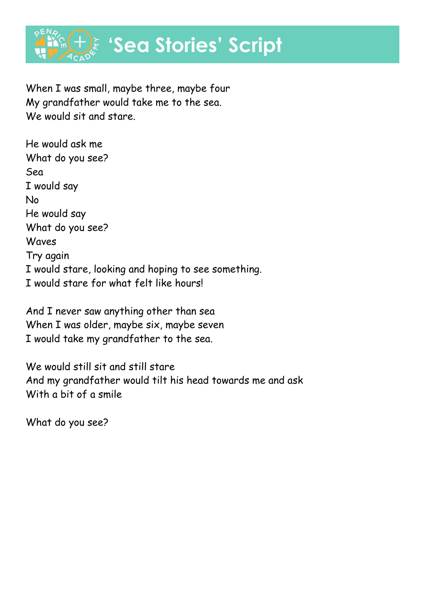

When I was small, maybe three, maybe four My grandfather would take me to the sea. We would sit and stare.

He would ask me What do you see? Sea I would say No He would say What do you see? Waves Try again I would stare, looking and hoping to see something. I would stare for what felt like hours!

And I never saw anything other than sea When I was older, maybe six, maybe seven I would take my grandfather to the sea.

We would still sit and still stare And my grandfather would tilt his head towards me and ask With a bit of a smile

What do you see?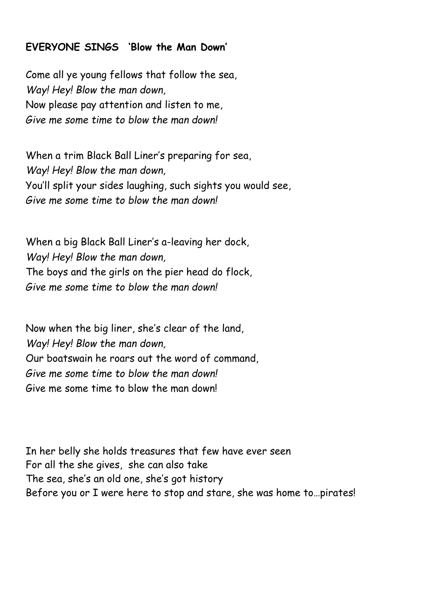## **EVERYONE SINGS 'Blow the Man Down'**

Come all ye young fellows that follow the sea, *Way! Hey! Blow the man down,* Now please pay attention and listen to me, *Give me some time to blow the man down!*

When a trim Black Ball Liner's preparing for sea, *Way! Hey! Blow the man down,* You'll split your sides laughing, such sights you would see, *Give me some time to blow the man down!*

When a big Black Ball Liner's a-leaving her dock, *Way! Hey! Blow the man down,* The boys and the girls on the pier head do flock, *Give me some time to blow the man down!*

Now when the big liner, she's clear of the land, *Way! Hey! Blow the man down,* Our boatswain he roars out the word of command, *Give me some time to blow the man down!* Give me some time to blow the man down!

In her belly she holds treasures that few have ever seen For all the she gives, she can also take The sea, she's an old one, she's got history Before you or I were here to stop and stare, she was home to…pirates!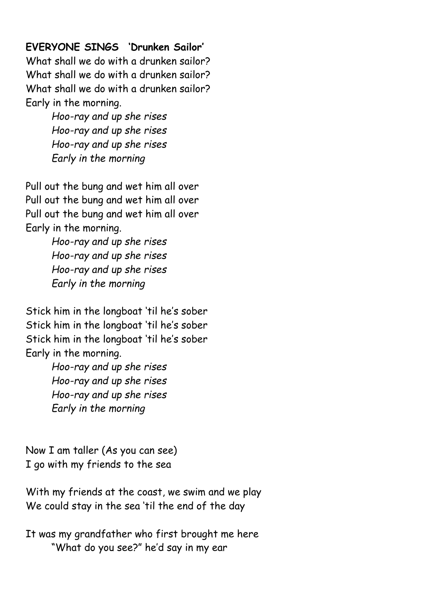## **EVERYONE SINGS 'Drunken Sailor'**

What shall we do with a drunken sailor? What shall we do with a drunken sailor? What shall we do with a drunken sailor? Early in the morning.

> *Hoo-ray and up she rises Hoo-ray and up she rises Hoo-ray and up she rises Early in the morning*

Pull out the bung and wet him all over Pull out the bung and wet him all over Pull out the bung and wet him all over Early in the morning.

> *Hoo-ray and up she rises Hoo-ray and up she rises Hoo-ray and up she rises Early in the morning*

Stick him in the longboat 'til he's sober Stick him in the longboat 'til he's sober Stick him in the longboat 'til he's sober Early in the morning.

> *Hoo-ray and up she rises Hoo-ray and up she rises Hoo-ray and up she rises Early in the morning*

Now I am taller (As you can see) I go with my friends to the sea

With my friends at the coast, we swim and we play We could stay in the sea 'til the end of the day

It was my grandfather who first brought me here "What do you see?" he'd say in my ear